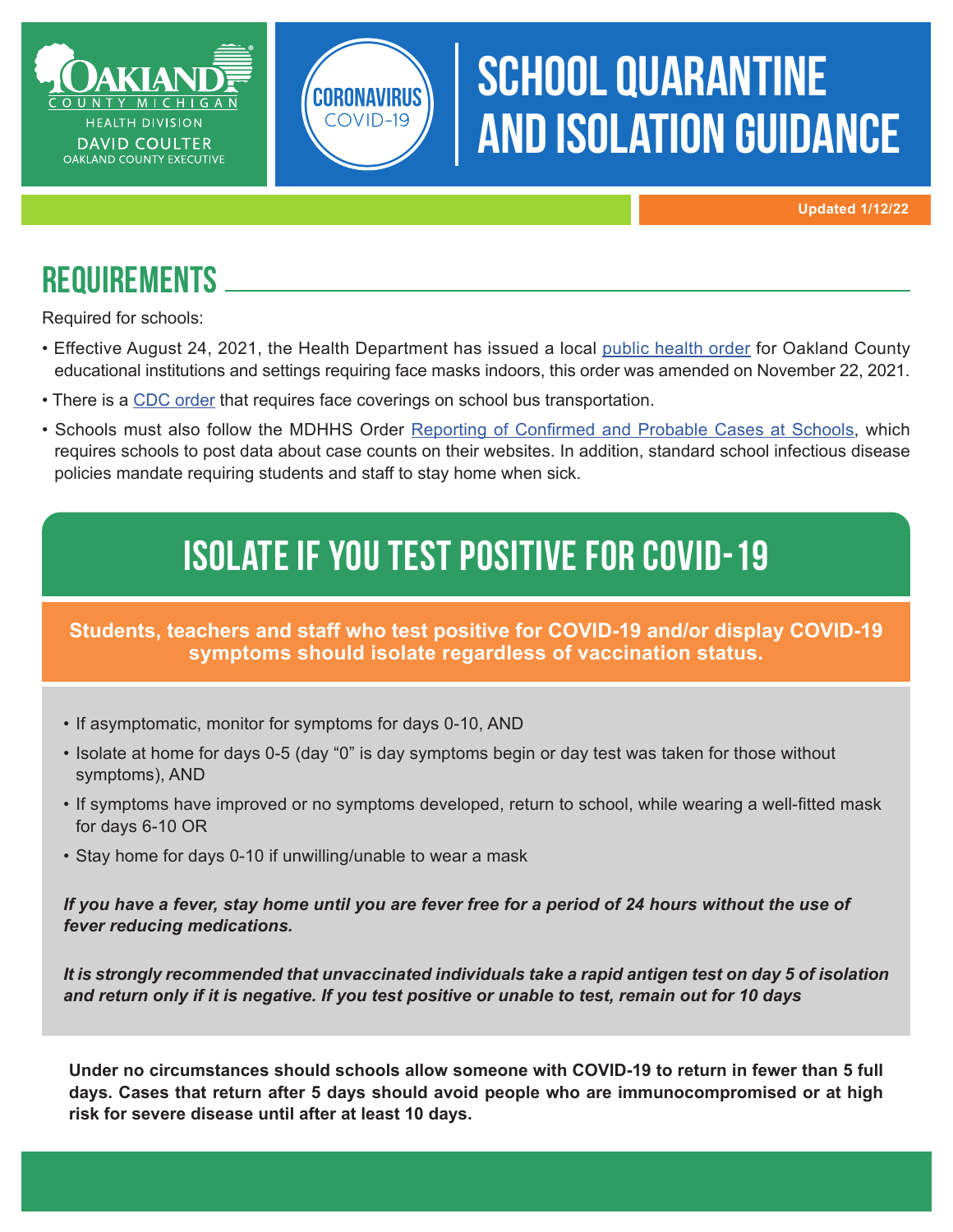

# **SCHOOL QUARANTINE** and isolation guidance

**Updated 1/12/22**

#### **REQUIREMENTS**

Required for schools:

- Effective August 24, 2021, the Health Department has issued a local [public health order](https://www.oakgov.com/covid/Pages/Health-Orders.aspx) for Oakland County educational institutions and settings requiring face masks indoors, this order was amended on November 22, 2021.
- There is a [CDC order](https://www.cdc.gov/quarantine/masks/mask-travel-guidance.html) that requires face coverings on school bus transportation.

CORONAVIRUS COVID-19

• Schools must also follow the MDHHS Order Reporting of [Confirmed](https://www.michigan.gov/coronavirus/0,9753,7-406-98178_98455-541860--,00.html) and Probable Cases at Schools, which requires schools to post data about case counts on their websites. In addition, standard school infectious disease policies mandate requiring students and staff to stay home when sick.

## ISOLATE IF YOU TEST POSITIVE FOR COVID-19

**Students, teachers and staff who test positive for COVID-19 and/or display COVID-19 symptoms should isolate regardless of vaccination status.**

- If asymptomatic, monitor for symptoms for days 0-10, AND
- Isolate at home for days 0-5 (day "0" is day symptoms begin or day test was taken for those without symptoms), AND
- • If symptoms have improved or no symptoms developed, return to school, while wearing a well-fitted mask for days 6-10 OR
- Stay home for days 0-10 if unwilling/unable to wear a mask

*If you have a fever, stay home until you are fever free for a period of 24 hours without the use of fever reducing medications.*

*It is strongly recommended that unvaccinated individuals take a rapid antigen test on day 5 of isolation and return only if it is negative. If you test positive or unable to test, remain out for 10 days*

**Under no circumstances should schools allow someone with COVID-19 to return in fewer than 5 full days. Cases that return after 5 days should avoid people who are immunocompromised or at high risk for severe disease until after at least 10 days.**